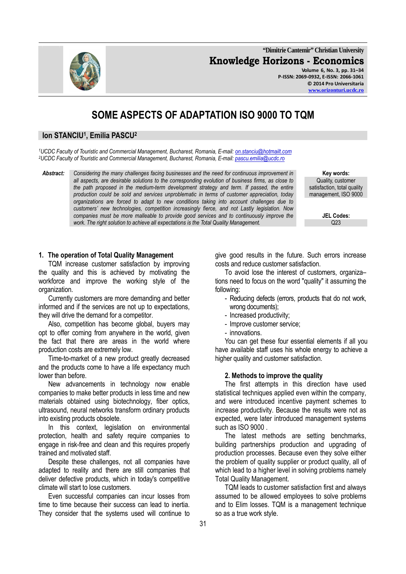**"Dimitrie Cantemir" Christian University Knowledge Horizons - Economics Volume 6, No. 3, pp. 31–34 P-ISSN: 2069-0932, E-ISSN: 2066-1061**

# **SOME ASPECTS OF ADAPTATION ISO 9000 TO TQM**

## **Ion STANCIU<sup>1</sup> , Emilia PASCU<sup>2</sup>**

*<sup>1</sup>UCDC Faculty of Touristic and Commercial Management, Bucharest, Romania, E-mail: on.stanciu@hotmailt.com <sup>2</sup>UCDC Faculty of Touristic and Commercial Management, Bucharest, Romania, E-mail: pascu.emilia@ucdc.ro*

*Abstract: Considering the many challenges facing businesses and the need for continuous improvement in all aspects, are desirable solutions to the corresponding evolution of business firms, as close to*  the path proposed in the medium-term development strategy and term. If passed, the entire *production could be sold and services unproblematic in terms of customer appreciation, today organizations are forced to adapt to new conditions taking into account challenges due to customers' new technologies, competition increasingly fierce, and not Lastly legislation. Now companies must be more malleable to provide good services and to continuously improve the work. The right solution to achieve all expectations is the Total Quality Management.* 

 **Key words:**  Quality, customer satisfaction, total quality management, ISO 9000

**JEL Codes:**<br>  $\frac{023}{2}$ 

### **1. The operation of Total Quality Management**

TQM increase customer satisfaction by improving the quality and this is achieved by motivating the workforce and improve the working style of the organization.

Currently customers are more demanding and better informed and if the services are not up to expectations, they will drive the demand for a competitor.

Also, competition has become global, buyers may opt to offer coming from anywhere in the world, given the fact that there are areas in the world where production costs are extremely low.

Time-to-market of a new product greatly decreased and the products come to have a life expectancy much lower than before.

New advancements in technology now enable companies to make better products in less time and new materials obtained using biotechnology, fiber optics, ultrasound, neural networks transform ordinary products into existing products obsolete.

In this context, legislation on environmental protection, health and safety require companies to engage in risk-free and clean and this requires properly trained and motivated staff.

Despite these challenges, not all companies have adapted to reality and there are still companies that deliver defective products, which in today's competitive climate will start to lose customers.

Even successful companies can incur losses from time to time because their success can lead to inertia. They consider that the systems used will continue to give good results in the future. Such errors increase costs and reduce customer satisfaction.

To avoid lose the interest of customers, organiza– tions need to focus on the word "quality" it assuming the following:

- Reducing defects (errors, products that do not work, wrong documents);
- Increased productivity;
- Improve customer service;
- innovations.

You can get these four essential elements if all you have available staff uses his whole energy to achieve a higher quality and customer satisfaction.

#### **2. Methods to improve the quality**

The first attempts in this direction have used statistical techniques applied even within the company, and were introduced incentive payment schemes to increase productivity. Because the results were not as expected, were later introduced management systems such as ISO 9000 .

The latest methods are setting benchmarks, building partnerships production and upgrading of production processes. Because even they solve either the problem of quality supplier or product quality, all of which lead to a higher level in solving problems namely Total Quality Management.

TQM leads to customer satisfaction first and always assumed to be allowed employees to solve problems and to Elim losses. TQM is a management technique so as a true work style.

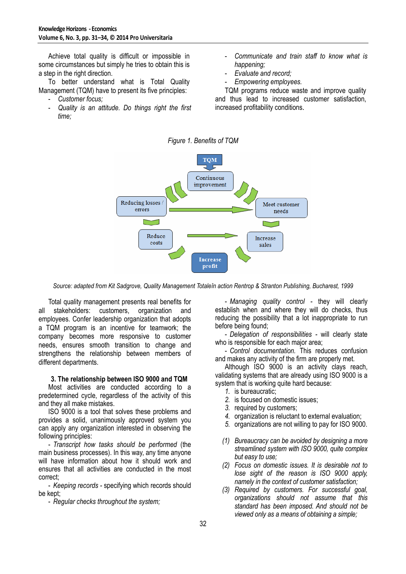Achieve total quality is difficult or impossible in some circumstances but simply he tries to obtain this is a step in the right direction.

To better understand what is Total Quality Management (TQM) have to present its five principles:

- *Customer focus;*
- *Quality is an attitude. Do things right the first time;*
- *Communicate and train staff to know what is happening;*
- *Evaluate and record;*
- *Empowering employees.*

TQM programs reduce waste and improve quality and thus lead to increased customer satisfaction, increased profitability conditions.





*Source: adapted from Kit Sadgrove, Quality Management Totaleîn action Rentrop & Stranton Publishing, Bucharest, 1999* 

Total quality management presents real benefits for all stakeholders: customers, organization and employees. Confer leadership organization that adopts a TQM program is an incentive for teamwork; the company becomes more responsive to customer needs, ensures smooth transition to change and strengthens the relationship between members of different departments.

## **3. The relationship between ISO 9000 and TQM**

Most activities are conducted according to a predetermined cycle, regardless of the activity of this and they all make mistakes.

ISO 9000 is a tool that solves these problems and provides a solid, unanimously approved system you can apply any organization interested in observing the following principles:

- *Transcript how tasks should be performed* (the main business processes). In this way, any time anyone will have information about how it should work and ensures that all activities are conducted in the most correct;

- *Keeping records -* specifying which records should be kept;

- *Regular checks throughout the system;* 

- *Managing quality control -* they will clearly establish when and where they will do checks, thus reducing the possibility that a lot inappropriate to run before being found;

- *Delegation of responsibilities -* will clearly state who is responsible for each major area;

- *Control documentation.* This reduces confusion and makes any activity of the firm are properly met*.*

Although ISO 9000 is an activity clays reach, validating systems that are already using ISO 9000 is a system that is working quite hard because:

- *1.* is bureaucratic;
- *2.* is focused on domestic issues;
- *3.* required by customers;
- *4.* organization is reluctant to external evaluation;
- *5.* organizations are not willing to pay for ISO 9000.
- *(1) Bureaucracy can be avoided by designing a more streamlined system with ISO 9000, quite complex but easy to use;*
- *(2) Focus on domestic issues. It is desirable not to lose sight of the reason is ISO 9000 apply, namely in the context of customer satisfaction;*
- *(3) Required by customers. For successful goal, organizations should not assume that this standard has been imposed. And should not be viewed only as a means of obtaining a simple;*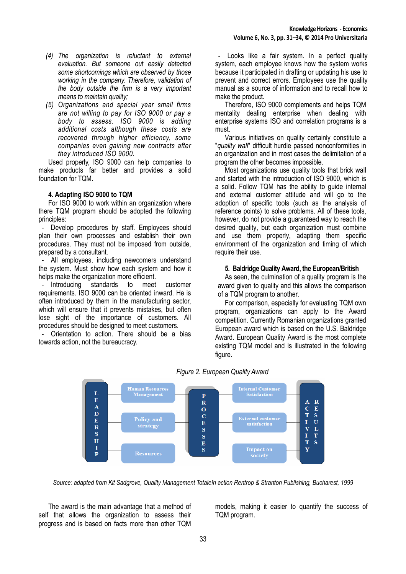- *(4) The organization is reluctant to external evaluation. But someone out easily detected some shortcomings which are observed by those working in the company. Therefore, validation of the body outside the firm is a very important means to maintain quality;*
- *(5) Organizations and special year small firms are not willing to pay for ISO 9000 or pay a body to assess. ISO 9000 is adding additional costs although these costs are recovered through higher efficiency, some companies even gaining new contracts after they introduced ISO 9000.*

Used properly, ISO 9000 can help companies to make products far better and provides a solid foundation for TQM.

## **4. Adapting ISO 9000 to TQM**

For ISO 9000 to work within an organization where there TQM program should be adopted the following principles:

- Develop procedures by staff. Employees should plan their own processes and establish their own procedures. They must not be imposed from outside, prepared by a consultant.

- All employees, including newcomers understand the system. Must show how each system and how it helps make the organization more efficient.<br>- Introducing standards to meet

- Introducing standards to meet customer requirements. ISO 9000 can be oriented inward. He is often introduced by them in the manufacturing sector, which will ensure that it prevents mistakes, but often lose sight of the importance of customers. All procedures should be designed to meet customers.

- Orientation to action. There should be a bias towards action, not the bureaucracy.

- Looks like a fair system. In a perfect quality system, each employee knows how the system works because it participated in drafting or updating his use to prevent and correct errors. Employees use the quality manual as a source of information and to recall how to make the product.

Therefore, ISO 9000 complements and helps TQM mentality dealing enterprise when dealing with enterprise systems ISO and correlation programs is a must.

Various initiatives on quality certainly constitute a "*quality wall*" difficult hurdle passed nonconformities in an organization and in most cases the delimitation of a program the other becomes impossible.

Most organizations use quality tools that brick wall and started with the introduction of ISO 9000, which is a solid. Follow TQM has the ability to guide internal and external customer attitude and will go to the adoption of specific tools (such as the analysis of reference points) to solve problems. All of these tools, however, do not provide a guaranteed way to reach the desired quality, but each organization must combine and use them properly, adapting them specific environment of the organization and timing of which require their use.

## **5. Baldridge Quality Award, the European/British**

As seen, the culmination of a quality program is the award given to quality and this allows the comparison of a TQM program to another.

For comparison, especially for evaluating TQM own program, organizations can apply to the Award competition. Currently Romanian organizations granted European award which is based on the U.S. Baldridge Award. European Quality Award is the most complete existing TQM model and is illustrated in the following figure.



*Figure 2. European Quality Award* 

*Source: adapted from Kit Sadgrove, Quality Management Totaleîn action Rentrop & Stranton Publishing, Bucharest, 1999* 

The award is the main advantage that a method of self that allows the organization to assess their progress and is based on facts more than other TQM

models, making it easier to quantify the success of TQM program.